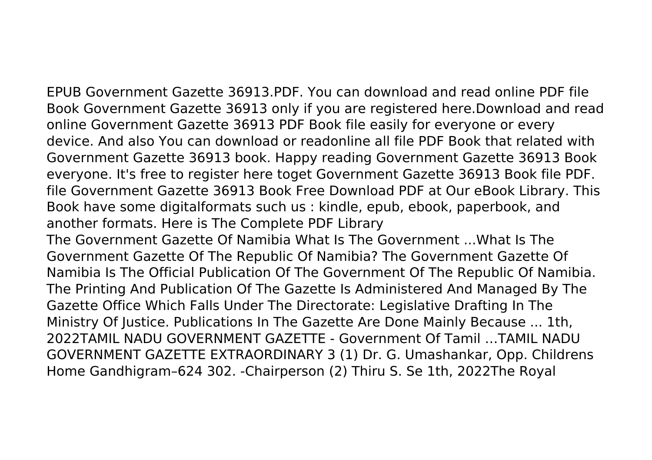EPUB Government Gazette 36913.PDF. You can download and read online PDF file Book Government Gazette 36913 only if you are registered here.Download and read online Government Gazette 36913 PDF Book file easily for everyone or every device. And also You can download or readonline all file PDF Book that related with Government Gazette 36913 book. Happy reading Government Gazette 36913 Book everyone. It's free to register here toget Government Gazette 36913 Book file PDF. file Government Gazette 36913 Book Free Download PDF at Our eBook Library. This Book have some digitalformats such us : kindle, epub, ebook, paperbook, and another formats. Here is The Complete PDF Library

The Government Gazette Of Namibia What Is The Government ...What Is The Government Gazette Of The Republic Of Namibia? The Government Gazette Of Namibia Is The Official Publication Of The Government Of The Republic Of Namibia. The Printing And Publication Of The Gazette Is Administered And Managed By The Gazette Office Which Falls Under The Directorate: Legislative Drafting In The Ministry Of Justice. Publications In The Gazette Are Done Mainly Because ... 1th, 2022TAMIL NADU GOVERNMENT GAZETTE - Government Of Tamil …TAMIL NADU GOVERNMENT GAZETTE EXTRAORDINARY 3 (1) Dr. G. Umashankar, Opp. Childrens Home Gandhigram–624 302. -Chairperson (2) Thiru S. Se 1th, 2022The Royal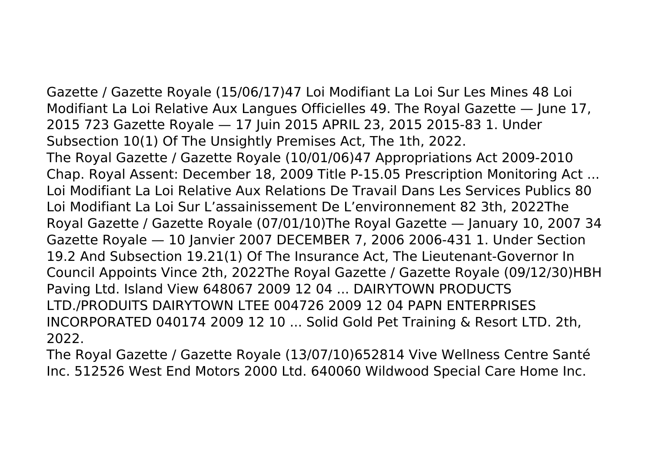Gazette / Gazette Royale (15/06/17)47 Loi Modifiant La Loi Sur Les Mines 48 Loi Modifiant La Loi Relative Aux Langues Officielles 49. The Royal Gazette — June 17, 2015 723 Gazette Royale — 17 Juin 2015 APRIL 23, 2015 2015-83 1. Under Subsection 10(1) Of The Unsightly Premises Act, The 1th, 2022. The Royal Gazette / Gazette Royale (10/01/06)47 Appropriations Act 2009-2010 Chap. Royal Assent: December 18, 2009 Title P-15.05 Prescription Monitoring Act ... Loi Modifiant La Loi Relative Aux Relations De Travail Dans Les Services Publics 80 Loi Modifiant La Loi Sur L'assainissement De L'environnement 82 3th, 2022The Royal Gazette / Gazette Royale (07/01/10)The Royal Gazette — January 10, 2007 34 Gazette Royale — 10 Janvier 2007 DECEMBER 7, 2006 2006-431 1. Under Section 19.2 And Subsection 19.21(1) Of The Insurance Act, The Lieutenant-Governor In Council Appoints Vince 2th, 2022The Royal Gazette / Gazette Royale (09/12/30)HBH Paving Ltd. Island View 648067 2009 12 04 ... DAIRYTOWN PRODUCTS LTD./PRODUITS DAIRYTOWN LTEE 004726 2009 12 04 PAPN ENTERPRISES INCORPORATED 040174 2009 12 10 ... Solid Gold Pet Training & Resort LTD. 2th, 2022.

The Royal Gazette / Gazette Royale (13/07/10)652814 Vive Wellness Centre Santé Inc. 512526 West End Motors 2000 Ltd. 640060 Wildwood Special Care Home Inc.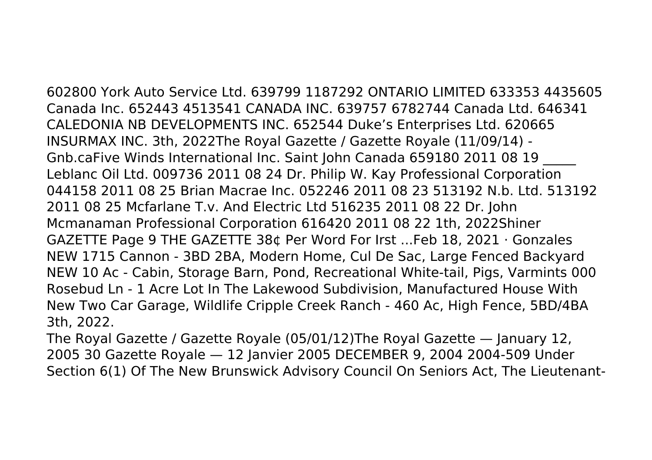602800 York Auto Service Ltd. 639799 1187292 ONTARIO LIMITED 633353 4435605 Canada Inc. 652443 4513541 CANADA INC. 639757 6782744 Canada Ltd. 646341 CALEDONIA NB DEVELOPMENTS INC. 652544 Duke's Enterprises Ltd. 620665 INSURMAX INC. 3th, 2022The Royal Gazette / Gazette Royale (11/09/14) - Gnb.caFive Winds International Inc. Saint John Canada 659180 2011 08 19 \_\_\_\_\_ Leblanc Oil Ltd. 009736 2011 08 24 Dr. Philip W. Kay Professional Corporation 044158 2011 08 25 Brian Macrae Inc. 052246 2011 08 23 513192 N.b. Ltd. 513192 2011 08 25 Mcfarlane T.v. And Electric Ltd 516235 2011 08 22 Dr. John Mcmanaman Professional Corporation 616420 2011 08 22 1th, 2022Shiner GAZETTE Page 9 THE GAZETTE 38¢ Per Word For Irst ...Feb 18, 2021 · Gonzales NEW 1715 Cannon - 3BD 2BA, Modern Home, Cul De Sac, Large Fenced Backyard NEW 10 Ac - Cabin, Storage Barn, Pond, Recreational White-tail, Pigs, Varmints 000 Rosebud Ln - 1 Acre Lot In The Lakewood Subdivision, Manufactured House With New Two Car Garage, Wildlife Cripple Creek Ranch - 460 Ac, High Fence, 5BD/4BA 3th, 2022.

The Royal Gazette / Gazette Royale (05/01/12)The Royal Gazette — January 12, 2005 30 Gazette Royale — 12 Janvier 2005 DECEMBER 9, 2004 2004-509 Under Section 6(1) Of The New Brunswick Advisory Council On Seniors Act, The Lieutenant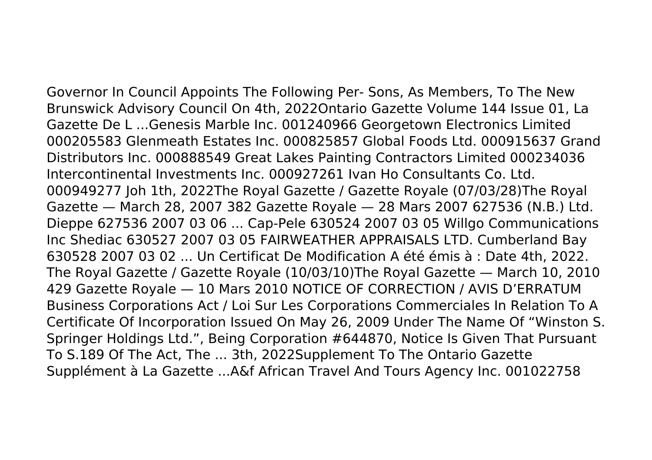Governor In Council Appoints The Following Per- Sons, As Members, To The New Brunswick Advisory Council On 4th, 2022Ontario Gazette Volume 144 Issue 01, La Gazette De L ...Genesis Marble Inc. 001240966 Georgetown Electronics Limited 000205583 Glenmeath Estates Inc. 000825857 Global Foods Ltd. 000915637 Grand Distributors Inc. 000888549 Great Lakes Painting Contractors Limited 000234036 Intercontinental Investments Inc. 000927261 Ivan Ho Consultants Co. Ltd. 000949277 Joh 1th, 2022The Royal Gazette / Gazette Royale (07/03/28)The Royal Gazette — March 28, 2007 382 Gazette Royale — 28 Mars 2007 627536 (N.B.) Ltd. Dieppe 627536 2007 03 06 ... Cap-Pele 630524 2007 03 05 Willgo Communications Inc Shediac 630527 2007 03 05 FAIRWEATHER APPRAISALS LTD. Cumberland Bay 630528 2007 03 02 ... Un Certificat De Modification A été émis à : Date 4th, 2022. The Royal Gazette / Gazette Royale (10/03/10)The Royal Gazette — March 10, 2010 429 Gazette Royale — 10 Mars 2010 NOTICE OF CORRECTION / AVIS D'ERRATUM Business Corporations Act / Loi Sur Les Corporations Commerciales In Relation To A Certificate Of Incorporation Issued On May 26, 2009 Under The Name Of "Winston S. Springer Holdings Ltd.", Being Corporation #644870, Notice Is Given That Pursuant To S.189 Of The Act, The ... 3th, 2022Supplement To The Ontario Gazette Supplément à La Gazette ...A&f African Travel And Tours Agency Inc. 001022758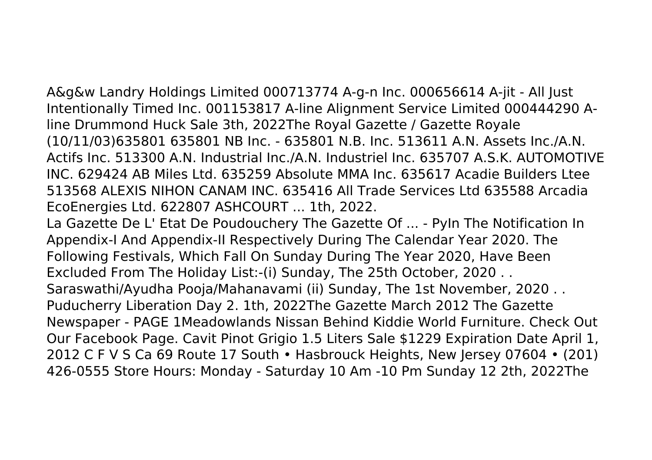A&g&w Landry Holdings Limited 000713774 A-g-n Inc. 000656614 A-jit - All Just Intentionally Timed Inc. 001153817 A-line Alignment Service Limited 000444290 Aline Drummond Huck Sale 3th, 2022The Royal Gazette / Gazette Royale (10/11/03)635801 635801 NB Inc. - 635801 N.B. Inc. 513611 A.N. Assets Inc./A.N. Actifs Inc. 513300 A.N. Industrial Inc./A.N. Industriel Inc. 635707 A.S.K. AUTOMOTIVE INC. 629424 AB Miles Ltd. 635259 Absolute MMA Inc. 635617 Acadie Builders Ltee 513568 ALEXIS NIHON CANAM INC. 635416 All Trade Services Ltd 635588 Arcadia EcoEnergies Ltd. 622807 ASHCOURT ... 1th, 2022.

La Gazette De L' Etat De Poudouchery The Gazette Of ... - PyIn The Notification In Appendix-I And Appendix-II Respectively During The Calendar Year 2020. The Following Festivals, Which Fall On Sunday During The Year 2020, Have Been Excluded From The Holiday List:-(i) Sunday, The 25th October, 2020 . . Saraswathi/Ayudha Pooja/Mahanavami (ii) Sunday, The 1st November, 2020 . . Puducherry Liberation Day 2. 1th, 2022The Gazette March 2012 The Gazette Newspaper - PAGE 1Meadowlands Nissan Behind Kiddie World Furniture. Check Out Our Facebook Page. Cavit Pinot Grigio 1.5 Liters Sale \$1229 Expiration Date April 1, 2012 C F V S Ca 69 Route 17 South • Hasbrouck Heights, New Jersey 07604 • (201) 426-0555 Store Hours: Monday - Saturday 10 Am -10 Pm Sunday 12 2th, 2022The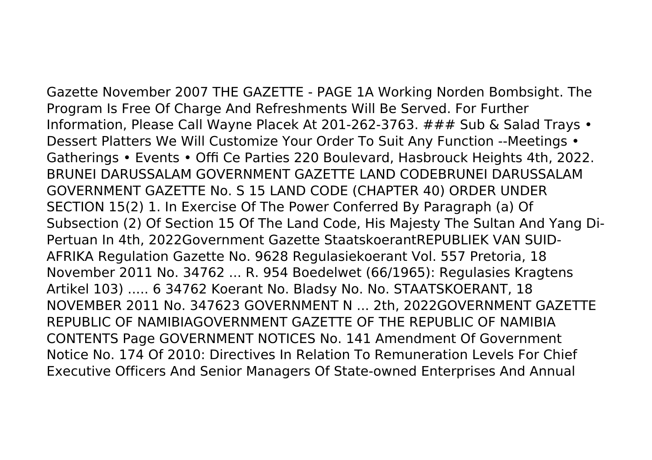Gazette November 2007 THE GAZETTE - PAGE 1A Working Norden Bombsight. The Program Is Free Of Charge And Refreshments Will Be Served. For Further Information, Please Call Wayne Placek At 201-262-3763. ### Sub & Salad Trays • Dessert Platters We Will Customize Your Order To Suit Any Function --Meetings • Gatherings • Events • Offi Ce Parties 220 Boulevard, Hasbrouck Heights 4th, 2022. BRUNEI DARUSSALAM GOVERNMENT GAZETTE LAND CODEBRUNEI DARUSSALAM GOVERNMENT GAZETTE No. S 15 LAND CODE (CHAPTER 40) ORDER UNDER SECTION 15(2) 1. In Exercise Of The Power Conferred By Paragraph (a) Of Subsection (2) Of Section 15 Of The Land Code, His Majesty The Sultan And Yang Di-Pertuan In 4th, 2022Government Gazette StaatskoerantREPUBLIEK VAN SUID-AFRIKA Regulation Gazette No. 9628 Regulasiekoerant Vol. 557 Pretoria, 18 November 2011 No. 34762 ... R. 954 Boedelwet (66/1965): Regulasies Kragtens Artikel 103) ..... 6 34762 Koerant No. Bladsy No. No. STAATSKOERANT, 18 NOVEMBER 2011 No. 347623 GOVERNMENT N ... 2th, 2022GOVERNMENT GAZETTE REPUBLIC OF NAMIBIAGOVERNMENT GAZETTE OF THE REPUBLIC OF NAMIBIA CONTENTS Page GOVERNMENT NOTICES No. 141 Amendment Of Government Notice No. 174 Of 2010: Directives In Relation To Remuneration Levels For Chief Executive Officers And Senior Managers Of State-owned Enterprises And Annual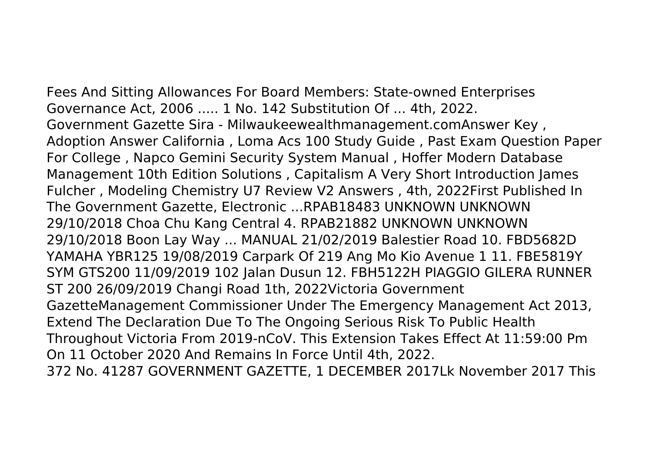Fees And Sitting Allowances For Board Members: State-owned Enterprises

Governance Act, 2006 ..... 1 No. 142 Substitution Of ... 4th, 2022. Government Gazette Sira - Milwaukeewealthmanagement.comAnswer Key , Adoption Answer California , Loma Acs 100 Study Guide , Past Exam Question Paper For College , Napco Gemini Security System Manual , Hoffer Modern Database Management 10th Edition Solutions , Capitalism A Very Short Introduction James Fulcher , Modeling Chemistry U7 Review V2 Answers , 4th, 2022First Published In The Government Gazette, Electronic ...RPAB18483 UNKNOWN UNKNOWN 29/10/2018 Choa Chu Kang Central 4. RPAB21882 UNKNOWN UNKNOWN 29/10/2018 Boon Lay Way ... MANUAL 21/02/2019 Balestier Road 10. FBD5682D YAMAHA YBR125 19/08/2019 Carpark Of 219 Ang Mo Kio Avenue 1 11. FBE5819Y SYM GTS200 11/09/2019 102 Jalan Dusun 12. FBH5122H PIAGGIO GILERA RUNNER ST 200 26/09/2019 Changi Road 1th, 2022Victoria Government GazetteManagement Commissioner Under The Emergency Management Act 2013, Extend The Declaration Due To The Ongoing Serious Risk To Public Health Throughout Victoria From 2019-nCoV. This Extension Takes Effect At 11:59:00 Pm On 11 October 2020 And Remains In Force Until 4th, 2022.

372 No. 41287 GOVERNMENT GAZETTE, 1 DECEMBER 2017Lk November 2017 This